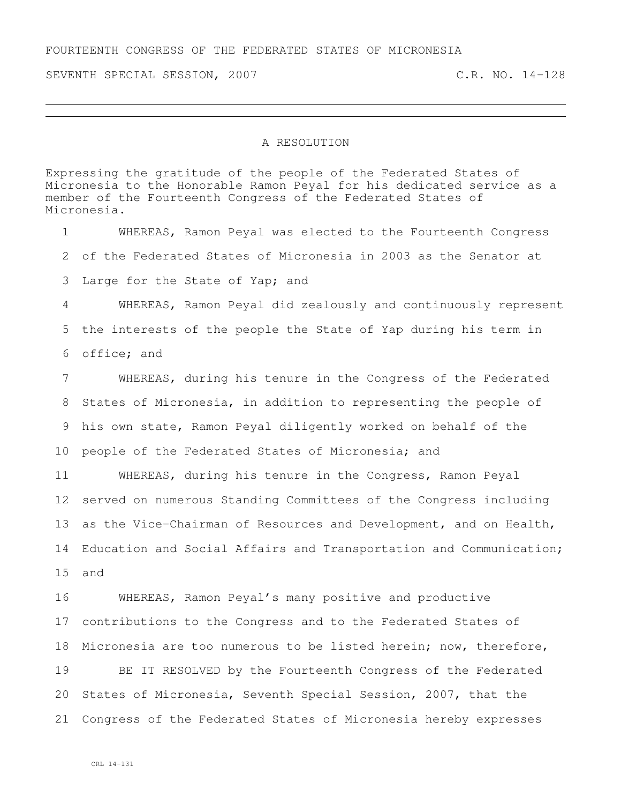SEVENTH SPECIAL SESSION, 2007 C.R. NO. 14-128

## A RESOLUTION

Expressing the gratitude of the people of the Federated States of Micronesia to the Honorable Ramon Peyal for his dedicated service as a member of the Fourteenth Congress of the Federated States of Micronesia.

 WHEREAS, Ramon Peyal was elected to the Fourteenth Congress of the Federated States of Micronesia in 2003 as the Senator at Large for the State of Yap; and WHEREAS, Ramon Peyal did zealously and continuously represent the interests of the people the State of Yap during his term in office; and WHEREAS, during his tenure in the Congress of the Federated States of Micronesia, in addition to representing the people of his own state, Ramon Peyal diligently worked on behalf of the people of the Federated States of Micronesia; and WHEREAS, during his tenure in the Congress, Ramon Peyal served on numerous Standing Committees of the Congress including as the Vice-Chairman of Resources and Development, and on Health, Education and Social Affairs and Transportation and Communication; and WHEREAS, Ramon Peyal's many positive and productive contributions to the Congress and to the Federated States of Micronesia are too numerous to be listed herein; now, therefore, BE IT RESOLVED by the Fourteenth Congress of the Federated States of Micronesia, Seventh Special Session, 2007, that the

Congress of the Federated States of Micronesia hereby expresses